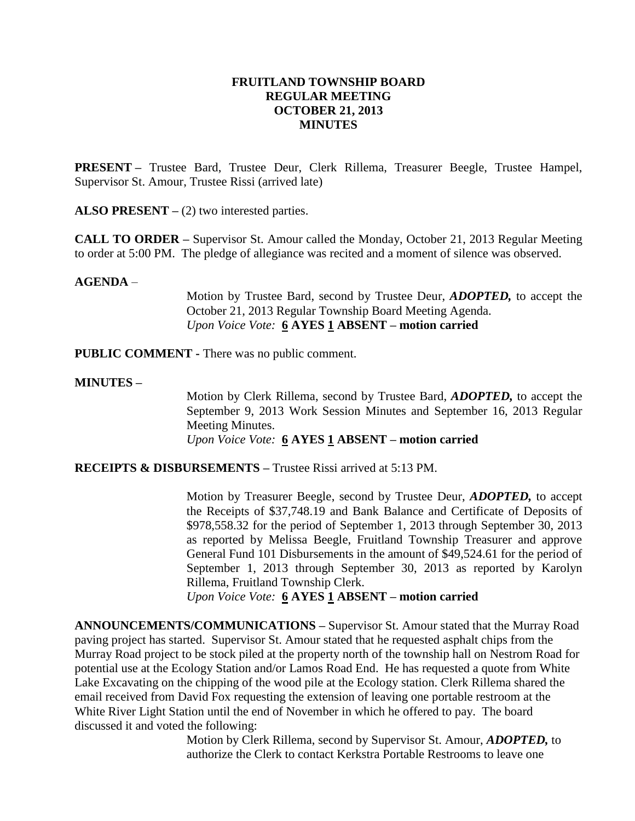# **FRUITLAND TOWNSHIP BOARD REGULAR MEETING OCTOBER 21, 2013 MINUTES**

**PRESENT –** Trustee Bard, Trustee Deur, Clerk Rillema, Treasurer Beegle, Trustee Hampel, Supervisor St. Amour, Trustee Rissi (arrived late)

**ALSO PRESENT** – (2) two interested parties.

**CALL TO ORDER –** Supervisor St. Amour called the Monday, October 21, 2013 Regular Meeting to order at 5:00 PM. The pledge of allegiance was recited and a moment of silence was observed.

## **AGENDA** –

Motion by Trustee Bard, second by Trustee Deur, *ADOPTED,* to accept the October 21, 2013 Regular Township Board Meeting Agenda. *Upon Voice Vote:* **6 AYES 1 ABSENT – motion carried**

**PUBLIC COMMENT -** There was no public comment.

## **MINUTES –**

Motion by Clerk Rillema, second by Trustee Bard, *ADOPTED,* to accept the September 9, 2013 Work Session Minutes and September 16, 2013 Regular Meeting Minutes. *Upon Voice Vote:* **6 AYES 1 ABSENT – motion carried**

**RECEIPTS & DISBURSEMENTS –** Trustee Rissi arrived at 5:13 PM.

Motion by Treasurer Beegle, second by Trustee Deur, *ADOPTED,* to accept the Receipts of \$37,748.19 and Bank Balance and Certificate of Deposits of \$978,558.32 for the period of September 1, 2013 through September 30, 2013 as reported by Melissa Beegle, Fruitland Township Treasurer and approve General Fund 101 Disbursements in the amount of \$49,524.61 for the period of September 1, 2013 through September 30, 2013 as reported by Karolyn Rillema, Fruitland Township Clerk.

*Upon Voice Vote:* **6 AYES 1 ABSENT – motion carried**

**ANNOUNCEMENTS/COMMUNICATIONS –** Supervisor St. Amour stated that the Murray Road paving project has started. Supervisor St. Amour stated that he requested asphalt chips from the Murray Road project to be stock piled at the property north of the township hall on Nestrom Road for potential use at the Ecology Station and/or Lamos Road End. He has requested a quote from White Lake Excavating on the chipping of the wood pile at the Ecology station. Clerk Rillema shared the email received from David Fox requesting the extension of leaving one portable restroom at the White River Light Station until the end of November in which he offered to pay. The board discussed it and voted the following:

> Motion by Clerk Rillema, second by Supervisor St. Amour, *ADOPTED,* to authorize the Clerk to contact Kerkstra Portable Restrooms to leave one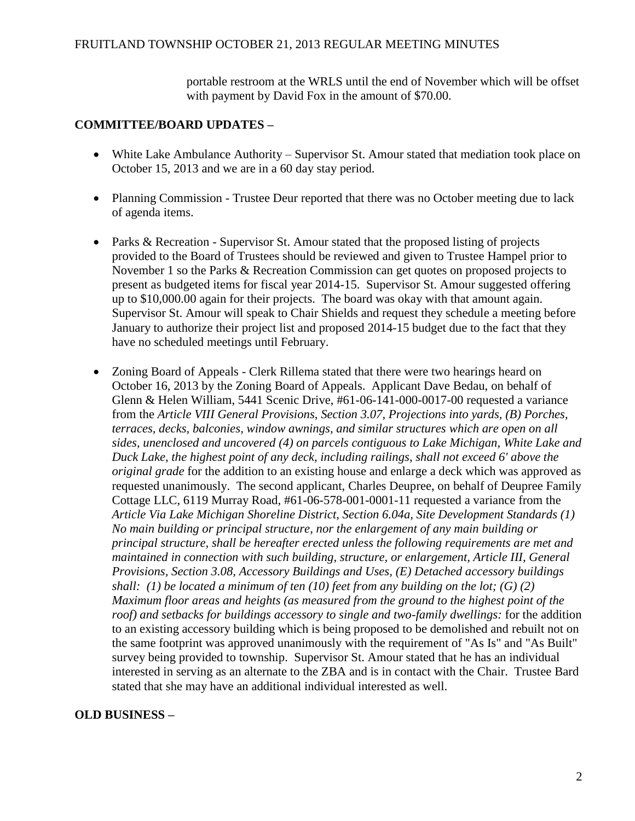portable restroom at the WRLS until the end of November which will be offset with payment by David Fox in the amount of \$70.00.

# **COMMITTEE/BOARD UPDATES –**

- White Lake Ambulance Authority Supervisor St. Amour stated that mediation took place on October 15, 2013 and we are in a 60 day stay period.
- Planning Commission Trustee Deur reported that there was no October meeting due to lack of agenda items.
- Parks & Recreation Supervisor St. Amour stated that the proposed listing of projects provided to the Board of Trustees should be reviewed and given to Trustee Hampel prior to November 1 so the Parks & Recreation Commission can get quotes on proposed projects to present as budgeted items for fiscal year 2014-15. Supervisor St. Amour suggested offering up to \$10,000.00 again for their projects. The board was okay with that amount again. Supervisor St. Amour will speak to Chair Shields and request they schedule a meeting before January to authorize their project list and proposed 2014-15 budget due to the fact that they have no scheduled meetings until February.
- Zoning Board of Appeals Clerk Rillema stated that there were two hearings heard on October 16, 2013 by the Zoning Board of Appeals. Applicant Dave Bedau, on behalf of Glenn & Helen William, 5441 Scenic Drive, #61-06-141-000-0017-00 requested a variance from the *Article VIII General Provisions, Section 3.07, Projections into yards, (B) Porches, terraces, decks, balconies, window awnings, and similar structures which are open on all sides, unenclosed and uncovered (4) on parcels contiguous to Lake Michigan, White Lake and Duck Lake, the highest point of any deck, including railings, shall not exceed 6' above the original grade* for the addition to an existing house and enlarge a deck which was approved as requested unanimously. The second applicant, Charles Deupree, on behalf of Deupree Family Cottage LLC, 6119 Murray Road, #61-06-578-001-0001-11 requested a variance from the *Article Via Lake Michigan Shoreline District, Section 6.04a, Site Development Standards (1) No main building or principal structure, nor the enlargement of any main building or principal structure, shall be hereafter erected unless the following requirements are met and maintained in connection with such building, structure, or enlargement, Article III, General Provisions, Section 3.08, Accessory Buildings and Uses, (E) Detached accessory buildings shall: (1) be located a minimum of ten (10) feet from any building on the lot; (G) (2) Maximum floor areas and heights (as measured from the ground to the highest point of the roof) and setbacks for buildings accessory to single and two-family dwellings:* for the addition to an existing accessory building which is being proposed to be demolished and rebuilt not on the same footprint was approved unanimously with the requirement of "As Is" and "As Built" survey being provided to township. Supervisor St. Amour stated that he has an individual interested in serving as an alternate to the ZBA and is in contact with the Chair. Trustee Bard stated that she may have an additional individual interested as well.

# **OLD BUSINESS –**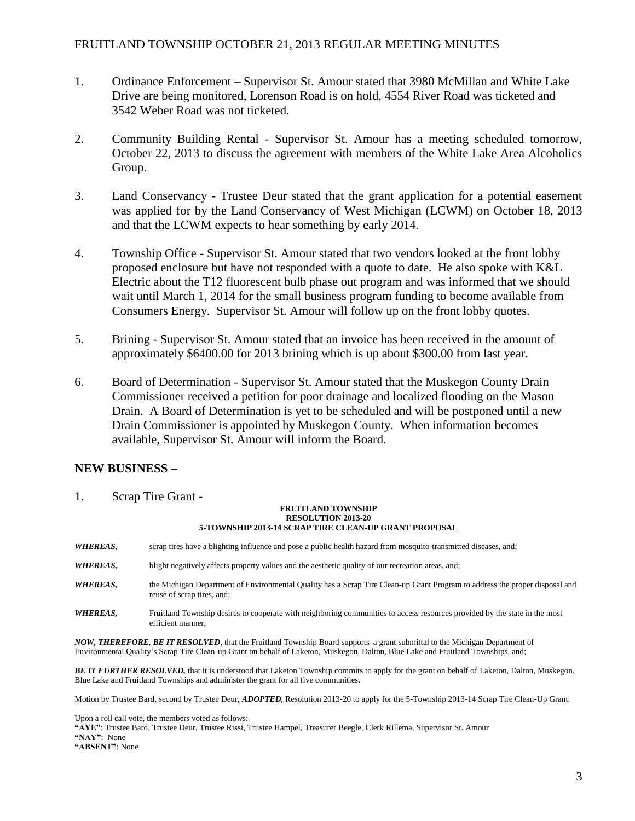- 1. Ordinance Enforcement Supervisor St. Amour stated that 3980 McMillan and White Lake Drive are being monitored, Lorenson Road is on hold, 4554 River Road was ticketed and 3542 Weber Road was not ticketed.
- 2. Community Building Rental Supervisor St. Amour has a meeting scheduled tomorrow, October 22, 2013 to discuss the agreement with members of the White Lake Area Alcoholics Group.
- 3. Land Conservancy Trustee Deur stated that the grant application for a potential easement was applied for by the Land Conservancy of West Michigan (LCWM) on October 18, 2013 and that the LCWM expects to hear something by early 2014.
- 4. Township Office Supervisor St. Amour stated that two vendors looked at the front lobby proposed enclosure but have not responded with a quote to date. He also spoke with K&L Electric about the T12 fluorescent bulb phase out program and was informed that we should wait until March 1, 2014 for the small business program funding to become available from Consumers Energy. Supervisor St. Amour will follow up on the front lobby quotes.
- 5. Brining Supervisor St. Amour stated that an invoice has been received in the amount of approximately \$6400.00 for 2013 brining which is up about \$300.00 from last year.
- 6. Board of Determination Supervisor St. Amour stated that the Muskegon County Drain Commissioner received a petition for poor drainage and localized flooding on the Mason Drain. A Board of Determination is yet to be scheduled and will be postponed until a new Drain Commissioner is appointed by Muskegon County. When information becomes available, Supervisor St. Amour will inform the Board.

# **NEW BUSINESS –**

1. Scrap Tire Grant -

#### **FRUITLAND TOWNSHIP RESOLUTION 2013-20 5-TOWNSHIP 2013-14 SCRAP TIRE CLEAN-UP GRANT PROPOSAL**

- *WHEREAS*, scrap tires have a blighting influence and pose a public health hazard from mosquito-transmitted diseases, and;
- *WHEREAS*, blight negatively affects property values and the aesthetic quality of our recreation areas, and;
- *WHEREAS,* the Michigan Department of Environmental Quality has a Scrap Tire Clean-up Grant Program to address the proper disposal and reuse of scrap tires, and;
- *WHEREAS,* Fruitland Township desires to cooperate with neighboring communities to access resources provided by the state in the most efficient manner;

*NOW, THEREFORE, BE IT RESOLVED*, that the Fruitland Township Board supports a grant submittal to the Michigan Department of Environmental Quality's Scrap Tire Clean-up Grant on behalf of Laketon, Muskegon, Dalton, Blue Lake and Fruitland Townships, and;

*BE IT FURTHER RESOLVED,* that it is understood that Laketon Township commits to apply for the grant on behalf of Laketon, Dalton, Muskegon, Blue Lake and Fruitland Townships and administer the grant for all five communities.

Motion by Trustee Bard, second by Trustee Deur, *ADOPTED,* Resolution 2013-20 to apply for the 5-Township 2013-14 Scrap Tire Clean-Up Grant.

Upon a roll call vote, the members voted as follows:

**"AYE"**: Trustee Bard, Trustee Deur, Trustee Rissi, Trustee Hampel, Treasurer Beegle, Clerk Rillema, Supervisor St. Amour

**"NAY"**: None

**"ABSENT"**: None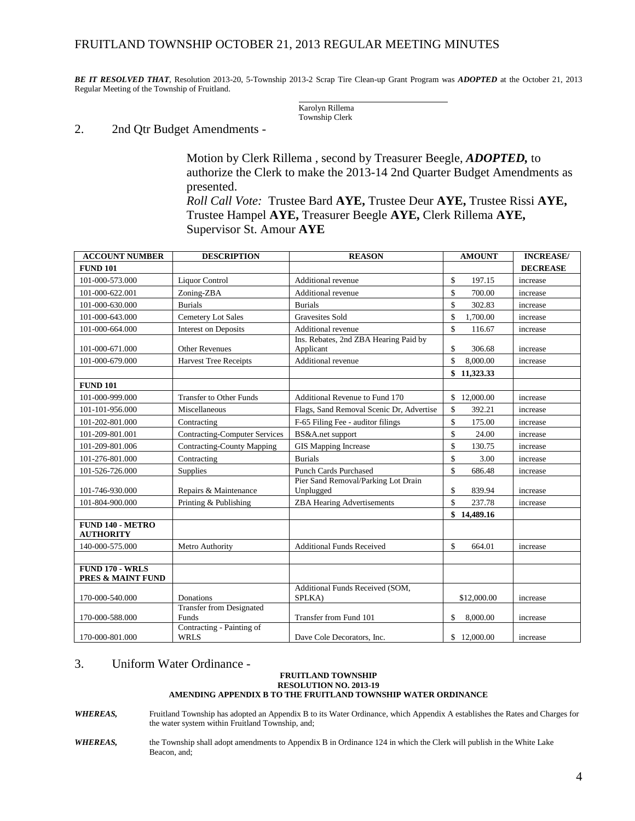### FRUITLAND TOWNSHIP OCTOBER 21, 2013 REGULAR MEETING MINUTES

*BE IT RESOLVED THAT*, Resolution 2013-20, 5-Township 2013-2 Scrap Tire Clean-up Grant Program was *ADOPTED* at the October 21, 2013 Regular Meeting of the Township of Fruitland.

> Karolyn Rillema Township Clerk

#### 2. 2nd Qtr Budget Amendments -

Motion by Clerk Rillema , second by Treasurer Beegle, *ADOPTED,* to authorize the Clerk to make the 2013-14 2nd Quarter Budget Amendments as presented. *Roll Call Vote:* Trustee Bard **AYE,** Trustee Deur **AYE,** Trustee Rissi **AYE,** 

Trustee Hampel **AYE,** Treasurer Beegle **AYE,** Clerk Rillema **AYE,**  Supervisor St. Amour **AYE**

| <b>ACCOUNT NUMBER</b>                                  | <b>DESCRIPTION</b>                       | <b>REASON</b>                                      |                    | <b>AMOUNT</b> | <b>INCREASE/</b> |
|--------------------------------------------------------|------------------------------------------|----------------------------------------------------|--------------------|---------------|------------------|
| <b>FUND 101</b>                                        |                                          |                                                    |                    |               | <b>DECREASE</b>  |
| 101-000-573.000                                        | <b>Liquor Control</b>                    | Additional revenue                                 | \$                 | 197.15        | increase         |
| 101-000-622.001                                        | Zoning-ZBA                               | Additional revenue                                 | \$                 | 700.00        | increase         |
| 101-000-630.000                                        | <b>Burials</b>                           | <b>Burials</b>                                     | $\mathbf{\hat{S}}$ | 302.83        | increase         |
| 101-000-643.000                                        | <b>Cemetery Lot Sales</b>                | Gravesites Sold                                    | \$                 | 1,700.00      | increase         |
| 101-000-664.000                                        | Interest on Deposits                     | Additional revenue                                 | \$                 | 116.67        | increase         |
| 101-000-671.000                                        | <b>Other Revenues</b>                    | Ins. Rebates, 2nd ZBA Hearing Paid by<br>Applicant | \$                 | 306.68        | increase         |
| 101-000-679.000                                        | <b>Harvest Tree Receipts</b>             | <b>Additional revenue</b>                          | \$                 | 8,000.00      | increase         |
|                                                        |                                          |                                                    |                    | \$11,323.33   |                  |
| <b>FUND 101</b>                                        |                                          |                                                    |                    |               |                  |
| 101-000-999.000                                        | <b>Transfer to Other Funds</b>           | Additional Revenue to Fund 170                     |                    | \$12,000.00   | increase         |
| 101-101-956.000                                        | Miscellaneous                            | Flags, Sand Removal Scenic Dr, Advertise           | \$                 | 392.21        | increase         |
| 101-202-801.000                                        | Contracting                              | F-65 Filing Fee - auditor filings                  | \$                 | 175.00        | increase         |
| 101-209-801.001                                        | <b>Contracting-Computer Services</b>     | BS&A.net support                                   | \$                 | 24.00         | increase         |
| 101-209-801.006                                        | <b>Contracting-County Mapping</b>        | <b>GIS</b> Mapping Increase                        | $\mathbf{\hat{S}}$ | 130.75        | increase         |
| 101-276-801.000                                        | Contracting                              | <b>Burials</b>                                     | \$                 | 3.00          | increase         |
| 101-526-726.000                                        | Supplies                                 | <b>Punch Cards Purchased</b>                       | \$                 | 686.48        | increase         |
| 101-746-930.000                                        | Repairs & Maintenance                    | Pier Sand Removal/Parking Lot Drain<br>Unplugged   | \$                 | 839.94        | increase         |
| 101-804-900.000                                        | Printing & Publishing                    | <b>ZBA Hearing Advertisements</b>                  | \$                 | 237.78        | increase         |
|                                                        |                                          |                                                    |                    | \$14,489.16   |                  |
| <b>FUND 140 - METRO</b><br><b>AUTHORITY</b>            |                                          |                                                    |                    |               |                  |
| 140-000-575.000                                        | Metro Authority                          | <b>Additional Funds Received</b>                   | \$                 | 664.01        | increase         |
|                                                        |                                          |                                                    |                    |               |                  |
| <b>FUND 170 - WRLS</b><br><b>PRES &amp; MAINT FUND</b> |                                          |                                                    |                    |               |                  |
| 170-000-540.000                                        | Donations                                | Additional Funds Received (SOM,<br>SPLKA)          |                    | \$12,000.00   | increase         |
| 170-000-588.000                                        | <b>Transfer from Designated</b><br>Funds | Transfer from Fund 101                             | \$                 | 8,000.00      | increase         |
| 170-000-801.000                                        | Contracting - Painting of<br><b>WRLS</b> | Dave Cole Decorators, Inc.                         |                    | \$12,000.00   | increase         |

#### 3. Uniform Water Ordinance -

#### **FRUITLAND TOWNSHIP RESOLUTION NO. 2013-19 AMENDING APPENDIX B TO THE FRUITLAND TOWNSHIP WATER ORDINANCE**

*WHEREAS,* Fruitland Township has adopted an Appendix B to its Water Ordinance, which Appendix A establishes the Rates and Charges for the water system within Fruitland Township, and;

*WHEREAS,* the Township shall adopt amendments to Appendix B in Ordinance 124 in which the Clerk will publish in the White Lake Beacon, and;